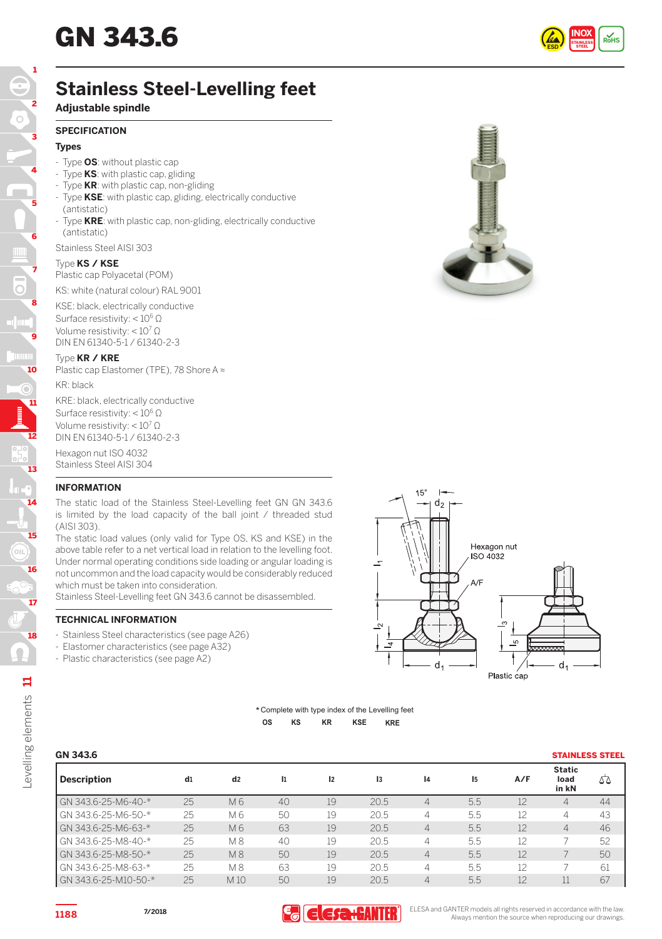

# **Stainless Steel-Levelling feet**

# **Adjustable spindle**

## **SPECIFICATION**

# **Types**

- Type **OS**: without plastic cap
- Type **KS**: with plastic cap, gliding
- Type **KR**: with plastic cap, non-gliding
- Type **KSE**: with plastic cap, gliding, electrically conductive (antistatic)
- Type **KRE**: with plastic cap, non-gliding, electrically conductive (antistatic)

Stainless Steel AISI 303

#### Type **KS / KSE**

Plastic cap Polyacetal (POM) KS: white (natural colour) RAL 9001

KSE: black, electrically conductive Surface resistivity: < 106 Ω Volume resistivity: < 10<sup>7</sup> Ω DIN EN 61340-5-1 / 61340-2-3

#### Type **KR / KRE**

Plastic cap Elastomer (TPE), 78 Shore A ≈ KR: black

KRE: black, electrically conductive Surface resistivity: < 106 Ω Volume resistivity: < 10<sup>7</sup> Ω DIN EN 61340-5-1 / 61340-2-3

Hexagon nut ISO 4032 Stainless Steel AISI 304

# **INFORMATION**

The static load of the Stainless Steel-Levelling feet GN GN 343.6 is limited by the load capacity of the ball joint / threaded stud (AISI 303).

The static load values (only valid for Type OS, KS and KSE) in the above table refer to a net vertical load in relation to the levelling foot. Under normal operating conditions side loading or angular loading is not uncommon and the load capacity would be considerably reduced which must be taken into consideration.

Stainless Steel-Levelling feet GN 343.6 cannot be disassembled.

### **TECHNICAL INFORMATION**

- Stainless Steel characteristics (see page A26)
- Elastomer characteristics (see page A32)
- Plastic characteristics (see page A2)



#### **KR KSE KRE** \* Complete with type index of the Levelling feet **OS KS**

| GN 343.6             |    |                |    |    |      |                |     |     | <b>STAINLESS STEEL</b>         |    |
|----------------------|----|----------------|----|----|------|----------------|-----|-----|--------------------------------|----|
| <b>Description</b>   | d1 | d <sub>2</sub> | I1 | 12 | 13   | 4              | 15  | A/F | <b>Static</b><br>load<br>in kN | Δ  |
| GN 343.6-25-M6-40-*  | 25 | M 6            | 40 | 19 | 20.5 | $\overline{4}$ | 5.5 | 12  | 4                              | 44 |
| GN 343.6-25-M6-50-*  | 25 | M 6            | 50 | 19 | 20.5 | $\overline{4}$ | 5.5 | 12  | 4                              | 43 |
| GN 343.6-25-M6-63-*  | 25 | M 6            | 63 | 19 | 20.5 | $\overline{4}$ | 5.5 | 12  | 4                              | 46 |
| GN 343.6-25-M8-40-*  | 25 | M <sub>8</sub> | 40 | 19 | 20.5 | $\overline{4}$ | 5.5 | 12  |                                | 52 |
| GN 343.6-25-M8-50-*  | 25 | <b>M8</b>      | 50 | 19 | 20.5 | $\overline{4}$ | 5.5 | 12  |                                | 50 |
| GN 343.6-25-M8-63-*  | 25 | M 8            | 63 | 19 | 20.5 | 4              | 5.5 | 12  |                                | 61 |
| GN 343.6-25-M10-50-* | 25 | M10            | 50 | 19 | 20.5 | $\overline{4}$ | 5.5 | 12  |                                | 67 |



15

14

13

12

11

10

 $\rm \odot$ 

9

8

7

6

5

4

3

2

1

**7/2018**



THE TRESA and GANTER models all rights reserved in accordance with the law.<br>**1188** Always mention the source when reproducing our drawings.